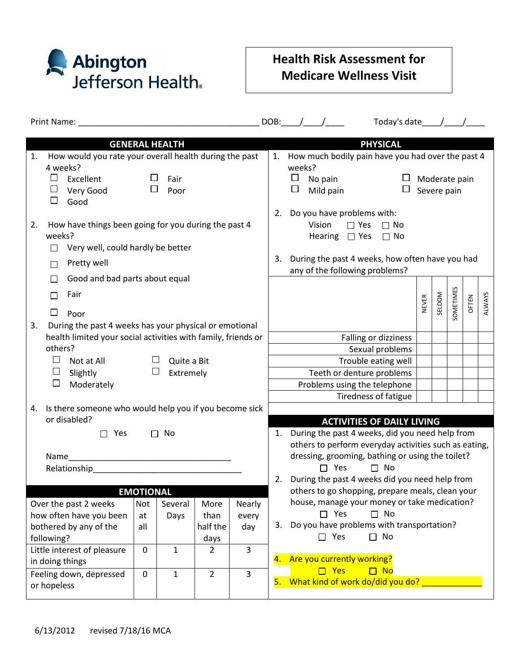

## **Health Risk Assessment for Medicare Wellness Visit**

| Print Name: Name: Name and Separate and Separate and Separate and Separate and Separate and Separate and Separate and Separate and Separate and Separate and Separate and Separate and Separate and Separate and Separate and |                                                                                                                                          |             |              |                  |                                                  |                                                                                                                                                                                              | Today's date $\_\_\_\_\_\_\_\_\_\_\_\_\_\_\$<br>DOB: $/$ /                                                                                                                                       |  |  |  |  |  |
|-------------------------------------------------------------------------------------------------------------------------------------------------------------------------------------------------------------------------------|------------------------------------------------------------------------------------------------------------------------------------------|-------------|--------------|------------------|--------------------------------------------------|----------------------------------------------------------------------------------------------------------------------------------------------------------------------------------------------|--------------------------------------------------------------------------------------------------------------------------------------------------------------------------------------------------|--|--|--|--|--|
| <b>GENERAL HEALTH</b>                                                                                                                                                                                                         |                                                                                                                                          |             |              |                  |                                                  |                                                                                                                                                                                              | <b>PHYSICAL</b>                                                                                                                                                                                  |  |  |  |  |  |
| 1.<br>$\Box$<br>□<br>$\Box$                                                                                                                                                                                                   | How would you rate your overall health during the past<br>4 weeks?<br>$\Box$<br>Excellent<br>Fair<br>$\Box$<br>Very Good<br>Poor<br>Good |             |              |                  |                                                  | 1. How much bodily pain have you had over the past 4<br>weeks?<br>$\Box$<br>No pain<br>Moderate pain<br>$\Box$<br>$\Box$<br>Severe pain<br>Mild pain                                         |                                                                                                                                                                                                  |  |  |  |  |  |
| 2.<br>□<br>П                                                                                                                                                                                                                  | How have things been going for you during the past 4<br>weeks?<br>Very well, could hardly be better<br>Pretty well                       |             |              |                  |                                                  |                                                                                                                                                                                              | 2. Do you have problems with:<br>Vision<br>$\Box$ Yes<br>$\Box$ No<br>Hearing $\Box$ Yes<br>$\Box$ No<br>During the past 4 weeks, how often have you had<br>3.<br>any of the following problems? |  |  |  |  |  |
| $\Box$<br>$\mathbb{R}^n$<br>□<br>3.                                                                                                                                                                                           | Good and bad parts about equal<br>Fair<br>Poor<br>During the past 4 weeks has your physical or emotional                                 |             |              |                  |                                                  |                                                                                                                                                                                              | SOMETIMES<br>SELDOM<br>ALWAYS<br>OFTEN<br>NEVER                                                                                                                                                  |  |  |  |  |  |
| health limited your social activities with family, friends or                                                                                                                                                                 |                                                                                                                                          |             |              |                  |                                                  | Falling or dizziness                                                                                                                                                                         |                                                                                                                                                                                                  |  |  |  |  |  |
|                                                                                                                                                                                                                               | others?<br>$\Box$<br>$\Box$<br>Quite a Bit<br>Not at All<br>$\Box$<br>⊔<br>Slightly<br>Extremely<br>Moderately                           |             |              |                  |                                                  | Sexual problems                                                                                                                                                                              |                                                                                                                                                                                                  |  |  |  |  |  |
|                                                                                                                                                                                                                               |                                                                                                                                          |             |              |                  |                                                  | Trouble eating well<br>Teeth or denture problems                                                                                                                                             |                                                                                                                                                                                                  |  |  |  |  |  |
| $\Box$                                                                                                                                                                                                                        |                                                                                                                                          |             |              |                  |                                                  | Problems using the telephone                                                                                                                                                                 |                                                                                                                                                                                                  |  |  |  |  |  |
|                                                                                                                                                                                                                               |                                                                                                                                          |             |              |                  |                                                  |                                                                                                                                                                                              | Tiredness of fatigue                                                                                                                                                                             |  |  |  |  |  |
| Is there someone who would help you if you become sick<br>4.<br>or disabled?<br>$\square$ Yes<br>$\Box$ No<br>Name<br>Relationship Relationship                                                                               |                                                                                                                                          |             |              |                  |                                                  | <b>ACTIVITIES OF DAILY LIVING</b><br>1. During the past 4 weeks, did you need help from                                                                                                      |                                                                                                                                                                                                  |  |  |  |  |  |
|                                                                                                                                                                                                                               |                                                                                                                                          |             |              |                  |                                                  | others to perform everyday activities such as eating,<br>dressing, grooming, bathing or using the toilet?<br>$\Box$ Yes<br>$\Box$ No<br>During the past 4 weeks did you need help from<br>2. |                                                                                                                                                                                                  |  |  |  |  |  |
| <b>EMOTIONAL</b>                                                                                                                                                                                                              |                                                                                                                                          |             |              |                  | others to go shopping, prepare meals, clean your |                                                                                                                                                                                              |                                                                                                                                                                                                  |  |  |  |  |  |
|                                                                                                                                                                                                                               | Over the past 2 weeks                                                                                                                    | <b>Not</b>  | Several      | More             | Nearly                                           |                                                                                                                                                                                              | house, manage your money or take medication?<br>$\Box$ No                                                                                                                                        |  |  |  |  |  |
| how often have you been                                                                                                                                                                                                       |                                                                                                                                          | at          | Days         | than             | every                                            | 3.                                                                                                                                                                                           | $\square$ Yes<br>Do you have problems with transportation?                                                                                                                                       |  |  |  |  |  |
| bothered by any of the<br>following?                                                                                                                                                                                          |                                                                                                                                          | all         |              | half the<br>days | day                                              |                                                                                                                                                                                              | $\Box$ Yes<br>$\Box$ No                                                                                                                                                                          |  |  |  |  |  |
| Little interest of pleasure                                                                                                                                                                                                   |                                                                                                                                          | $\pmb{0}$   | $\mathbf{1}$ | $\overline{2}$   | $\overline{3}$                                   |                                                                                                                                                                                              |                                                                                                                                                                                                  |  |  |  |  |  |
| in doing things                                                                                                                                                                                                               |                                                                                                                                          |             |              |                  |                                                  | 4.                                                                                                                                                                                           | Are you currently working?                                                                                                                                                                       |  |  |  |  |  |
| Feeling down, depressed<br>or hopeless                                                                                                                                                                                        |                                                                                                                                          | $\mathbf 0$ | $\mathbf{1}$ | $\overline{2}$   | $\overline{3}$                                   | 5.                                                                                                                                                                                           | $\Box$ Yes<br>$\Box$ No<br>What kind of work do/did you do?                                                                                                                                      |  |  |  |  |  |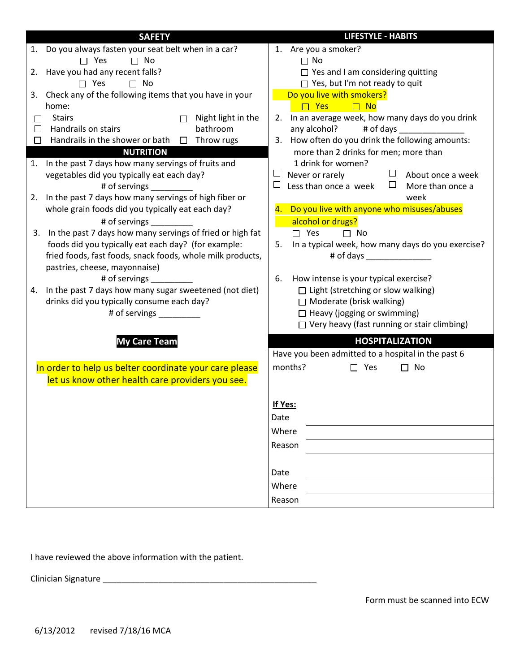| <b>SAFETY</b>                                                                               | <b>LIFESTYLE - HABITS</b>                                                                       |  |  |  |  |
|---------------------------------------------------------------------------------------------|-------------------------------------------------------------------------------------------------|--|--|--|--|
| 1. Do you always fasten your seat belt when in a car?                                       | 1. Are you a smoker?                                                                            |  |  |  |  |
| $\Box$ No<br>$\Box$ Yes                                                                     | $\Box$ No                                                                                       |  |  |  |  |
| 2. Have you had any recent falls?                                                           | $\Box$ Yes and I am considering quitting                                                        |  |  |  |  |
| $\Box$ Yes<br>$\Box$ No                                                                     | $\Box$ Yes, but I'm not ready to quit                                                           |  |  |  |  |
| 3. Check any of the following items that you have in your                                   | Do you live with smokers?                                                                       |  |  |  |  |
| home:                                                                                       | $\Box$ Yes<br>$\Box$ No                                                                         |  |  |  |  |
| <b>Stairs</b><br>Night light in the<br>П<br>□                                               | 2. In an average week, how many days do you drink                                               |  |  |  |  |
| Handrails on stairs<br>bathroom<br>$\Box$                                                   | any alcohol?<br># of days ________________                                                      |  |  |  |  |
| Handrails in the shower or bath $\Box$ Throw rugs<br>$\Box$                                 | 3. How often do you drink the following amounts:                                                |  |  |  |  |
| <b>NUTRITION</b>                                                                            | more than 2 drinks for men; more than                                                           |  |  |  |  |
| 1. In the past 7 days how many servings of fruits and                                       | 1 drink for women?                                                                              |  |  |  |  |
| vegetables did you typically eat each day?                                                  | $\Box$ About once a week<br>$\Box$<br>Never or rarely                                           |  |  |  |  |
| # of servings                                                                               | Less than once a week<br>$\Box$<br>⊔<br>More than once a                                        |  |  |  |  |
| 2. In the past 7 days how many servings of high fiber or                                    | week                                                                                            |  |  |  |  |
| whole grain foods did you typically eat each day?                                           | 4. Do you live with anyone who misuses/abuses                                                   |  |  |  |  |
| # of servings __________                                                                    | alcohol or drugs?                                                                               |  |  |  |  |
| 3. In the past 7 days how many servings of fried or high fat                                | $\Box$ Yes<br>$\Box$ No<br>In a typical week, how many days do you exercise?<br>5.<br># of days |  |  |  |  |
| foods did you typically eat each day? (for example:                                         |                                                                                                 |  |  |  |  |
| fried foods, fast foods, snack foods, whole milk products,<br>pastries, cheese, mayonnaise) |                                                                                                 |  |  |  |  |
| # of servings                                                                               | 6.<br>How intense is your typical exercise?                                                     |  |  |  |  |
| 4. In the past 7 days how many sugar sweetened (not diet)                                   | $\Box$ Light (stretching or slow walking)                                                       |  |  |  |  |
| drinks did you typically consume each day?                                                  | $\Box$ Moderate (brisk walking)                                                                 |  |  |  |  |
| # of servings                                                                               | $\Box$ Heavy (jogging or swimming)                                                              |  |  |  |  |
|                                                                                             | $\Box$ Very heavy (fast running or stair climbing)                                              |  |  |  |  |
| <b>My Care Team</b>                                                                         | <b>HOSPITALIZATION</b>                                                                          |  |  |  |  |
|                                                                                             | Have you been admitted to a hospital in the past 6                                              |  |  |  |  |
| In order to help us belter coordinate your care please                                      | months?<br>$\Box$ Yes<br>No<br>П                                                                |  |  |  |  |
| let us know other health care providers you see.                                            |                                                                                                 |  |  |  |  |
|                                                                                             |                                                                                                 |  |  |  |  |
|                                                                                             | If Yes:                                                                                         |  |  |  |  |
|                                                                                             | Date                                                                                            |  |  |  |  |
|                                                                                             | Where                                                                                           |  |  |  |  |
|                                                                                             | Reason                                                                                          |  |  |  |  |
|                                                                                             |                                                                                                 |  |  |  |  |
|                                                                                             | Date                                                                                            |  |  |  |  |
|                                                                                             | Where                                                                                           |  |  |  |  |
|                                                                                             | Reason                                                                                          |  |  |  |  |

I have reviewed the above information with the patient.

Clinician Signature \_\_\_\_\_\_\_\_\_\_\_\_\_\_\_\_\_\_\_\_\_\_\_\_\_\_\_\_\_\_\_\_\_\_\_\_\_\_\_\_\_\_\_\_\_\_

Form must be scanned into ECW